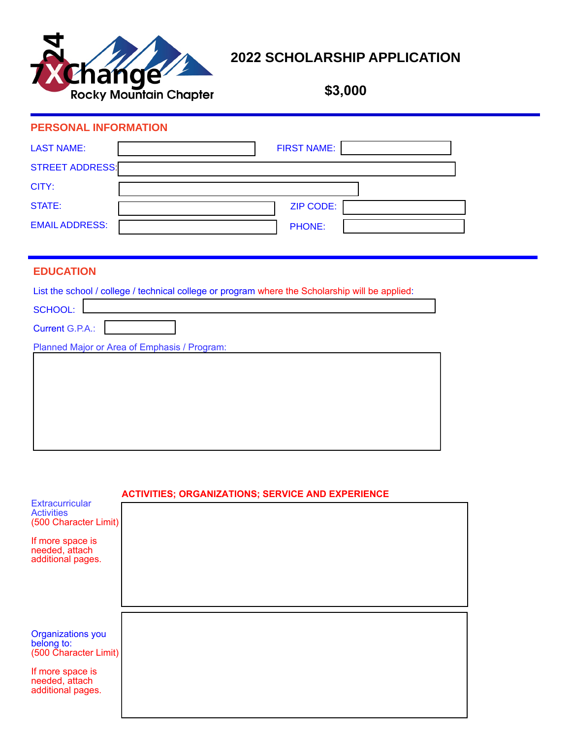

# **2022 SCHOLARSHIP APPLICATION**

**\$3,000**

## **PERSONAL INFORMATION**

| <b>LAST NAME:</b>      | <b>FIRST NAME:</b> |  |
|------------------------|--------------------|--|
| <b>STREET ADDRESS:</b> |                    |  |
| CITY:                  |                    |  |
| STATE:                 | ZIP CODE:          |  |
| <b>EMAIL ADDRESS:</b>  | PHONE:             |  |

# **EDUCATION**

| List the school / college / technical college or program where the Scholarship will be applied: |  |  |  |  |  |
|-------------------------------------------------------------------------------------------------|--|--|--|--|--|
|                                                                                                 |  |  |  |  |  |

| <b>SCHOOL:</b>                               |  |
|----------------------------------------------|--|
| Current G.P.A.:                              |  |
| Planned Major or Area of Emphasis / Program: |  |
|                                              |  |
|                                              |  |
|                                              |  |
|                                              |  |
|                                              |  |
|                                              |  |

|                                                                                                                            | <b>ACTIVITIES; ORGANIZATIONS; SERVICE AND EXPERIENCE</b> |
|----------------------------------------------------------------------------------------------------------------------------|----------------------------------------------------------|
| <b>Extracurricular</b><br><b>Activities</b><br>(500 Character Limit)                                                       |                                                          |
| If more space is<br>needed, attach<br>additional pages.                                                                    |                                                          |
| <b>Organizations you</b><br>belong to:<br>(500 Character Limit)<br>If more space is<br>needed, attach<br>additional pages. |                                                          |